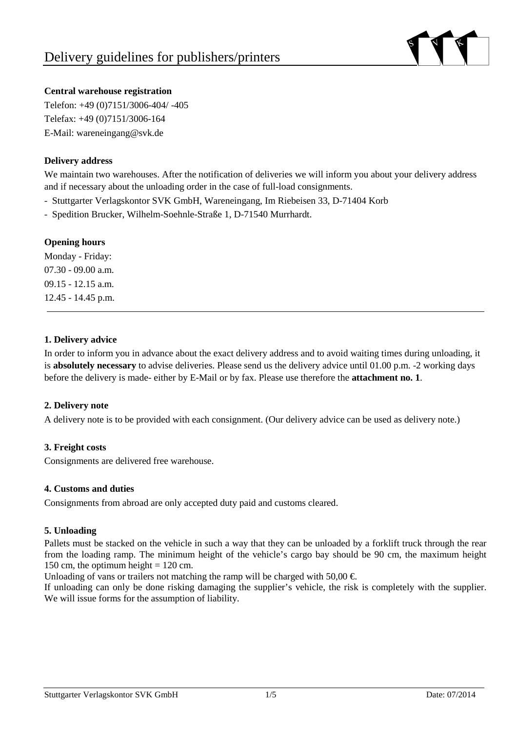

# **Central warehouse registration**

Telefon: +49 (0)7151/3006-404/ -405 Telefax: +49 (0)7151/3006-164 E-Mail: wareneingang@svk.de

# **Delivery address**

We maintain two warehouses. After the notification of deliveries we will inform you about your delivery address and if necessary about the unloading order in the case of full-load consignments.

- Stuttgarter Verlagskontor SVK GmbH, Wareneingang, Im Riebeisen 33, D-71404 Korb

- Spedition Brucker, Wilhelm-Soehnle-Straße 1, D-71540 Murrhardt.

#### **Opening hours**

Monday - Friday: 07.30 - 09.00 a.m. 09.15 - 12.15 a.m. 12.45 - 14.45 p.m.

#### **1. Delivery advice**

In order to inform you in advance about the exact delivery address and to avoid waiting times during unloading, it is **absolutely necessary** to advise deliveries. Please send us the delivery advice until 01.00 p.m. -2 working days before the delivery is made- either by E-Mail or by fax. Please use therefore the **attachment no. 1**.

# **2. Delivery note**

A delivery note is to be provided with each consignment. (Our delivery advice can be used as delivery note.)

# **3. Freight costs**

Consignments are delivered free warehouse.

# **4. Customs and duties**

Consignments from abroad are only accepted duty paid and customs cleared.

#### **5. Unloading**

Pallets must be stacked on the vehicle in such a way that they can be unloaded by a forklift truck through the rear from the loading ramp. The minimum height of the vehicle's cargo bay should be 90 cm, the maximum height 150 cm, the optimum height  $= 120$  cm.

Unloading of vans or trailers not matching the ramp will be charged with 50,00  $\epsilon$ .

If unloading can only be done risking damaging the supplier's vehicle, the risk is completely with the supplier. We will issue forms for the assumption of liability.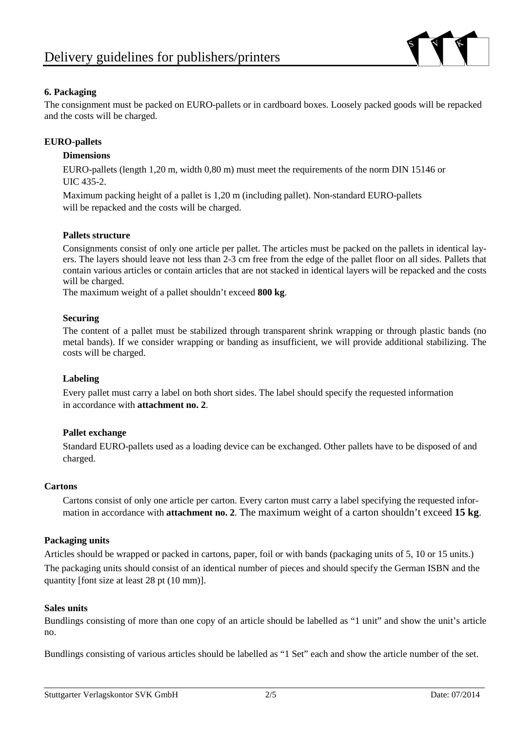

# **6. Packaging**

The consignment must be packed on EURO-pallets or in cardboard boxes. Loosely packed goods will be repacked and the costs will be charged.

## **EURO-pallets**

## **Dimensions**

EURO-pallets (length 1,20 m, width 0,80 m) must meet the requirements of the norm DIN 15146 or UIC 435-2.

Maximum packing height of a pallet is 1,20 m (including pallet). Non-standard EURO-pallets will be repacked and the costs will be charged.

#### **Pallets structure**

Consignments consist of only one article per pallet. The articles must be packed on the pallets in identical layers. The layers should leave not less than 2-3 cm free from the edge of the pallet floor on all sides. Pallets that contain various articles or contain articles that are not stacked in identical layers will be repacked and the costs will be charged.

The maximum weight of a pallet shouldn't exceed **800 kg**.

#### **Securing**

The content of a pallet must be stabilized through transparent shrink wrapping or through plastic bands (no metal bands). If we consider wrapping or banding as insufficient, we will provide additional stabilizing. The costs will be charged.

# **Labeling**

Every pallet must carry a label on both short sides. The label should specify the requested information in accordance with **attachment no. 2**.

# **Pallet exchange**

Standard EURO-pallets used as a loading device can be exchanged. Other pallets have to be disposed of and charged.

#### **Cartons**

Cartons consist of only one article per carton. Every carton must carry a label specifying the requested information in accordance with **attachment no. 2**. The maximum weight of a carton shouldn't exceed **15 kg**.

#### **Packaging units**

Articles should be wrapped or packed in cartons, paper, foil or with bands (packaging units of 5, 10 or 15 units.) The packaging units should consist of an identical number of pieces and should specify the German ISBN and the quantity [font size at least 28 pt (10 mm)].

#### **Sales units**

Bundlings consisting of more than one copy of an article should be labelled as "1 unit" and show the unit's article no.

Bundlings consisting of various articles should be labelled as "1 Set" each and show the article number of the set.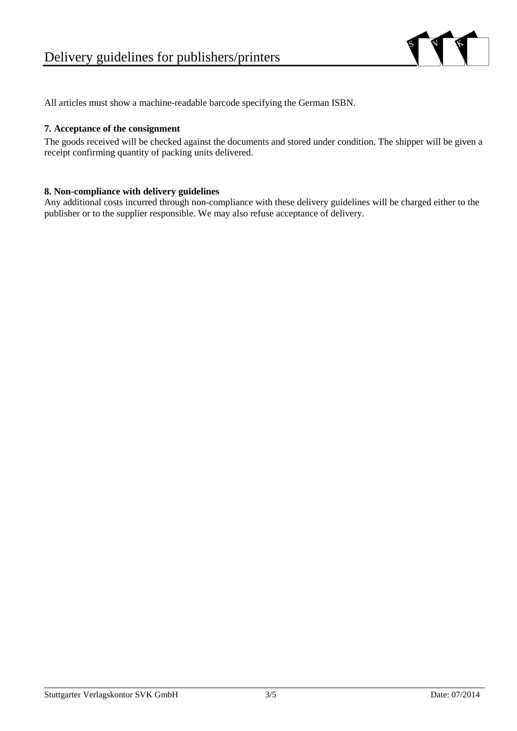

All articles must show a machine-readable barcode specifying the German ISBN.

#### **7. Acceptance of the consignment**

The goods received will be checked against the documents and stored under condition. The shipper will be given a receipt confirming quantity of packing units delivered.

#### **8. Non-compliance with delivery guidelines**

Any additional costs incurred through non-compliance with these delivery guidelines will be charged either to the publisher or to the supplier responsible. We may also refuse acceptance of delivery.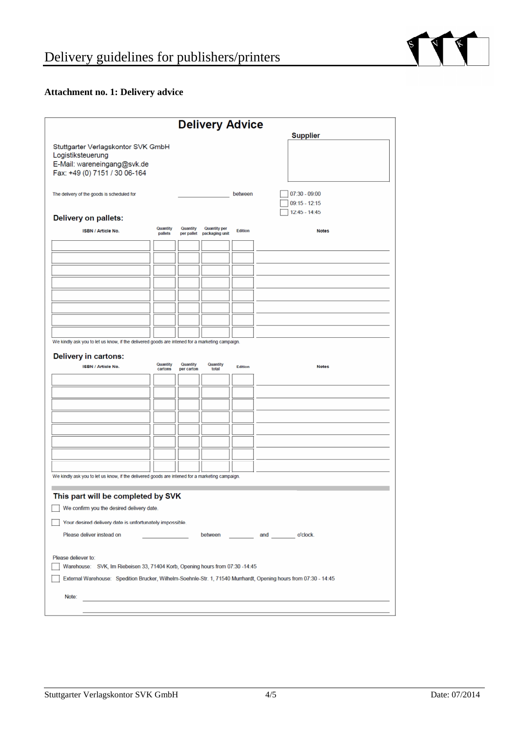

# **Attachment no. 1: Delivery advice**

| <b>Delivery Advice</b>                                                                                                  |                     |                        |                                       |                |                                    |  |
|-------------------------------------------------------------------------------------------------------------------------|---------------------|------------------------|---------------------------------------|----------------|------------------------------------|--|
| Stuttgarter Verlagskontor SVK GmbH<br>Logistiksteuerung<br>E-Mail: wareneingang@svk.de<br>Fax: +49 (0) 7151 / 30 06-164 |                     |                        |                                       |                | <b>Supplier</b>                    |  |
| The delivery of the goods is scheduled for                                                                              |                     |                        |                                       | between        | $07:30 - 09:00$<br>$09:15 - 12:15$ |  |
| <b>Delivery on pallets:</b>                                                                                             |                     |                        |                                       |                | $12:45 - 14:45$                    |  |
| <b>ISBN / Article No.</b>                                                                                               | Quantity<br>pallets | Quantity<br>per pallet | <b>Quantity per</b><br>packaging unit | Edition        | <b>Notes</b>                       |  |
|                                                                                                                         |                     |                        |                                       |                |                                    |  |
|                                                                                                                         |                     |                        |                                       |                |                                    |  |
|                                                                                                                         |                     |                        |                                       |                |                                    |  |
|                                                                                                                         |                     |                        |                                       |                |                                    |  |
|                                                                                                                         |                     |                        |                                       |                |                                    |  |
|                                                                                                                         |                     |                        |                                       |                |                                    |  |
|                                                                                                                         |                     |                        |                                       |                |                                    |  |
|                                                                                                                         |                     |                        |                                       |                |                                    |  |
| We kindly ask you to let us know, if the delivered goods are intened for a marketing campaign.                          |                     |                        |                                       |                |                                    |  |
| <b>Delivery in cartons:</b>                                                                                             | Quantity            | Quantity               | Quantity                              |                |                                    |  |
| <b>ISBN / Article No.</b>                                                                                               | cartons             | per carton             | total                                 | <b>Edition</b> | <b>Notes</b>                       |  |
|                                                                                                                         |                     |                        |                                       |                |                                    |  |
|                                                                                                                         |                     |                        |                                       |                |                                    |  |
|                                                                                                                         |                     |                        |                                       |                |                                    |  |
|                                                                                                                         |                     |                        |                                       |                |                                    |  |
|                                                                                                                         |                     |                        |                                       |                |                                    |  |
|                                                                                                                         |                     |                        |                                       |                |                                    |  |
|                                                                                                                         |                     |                        |                                       |                |                                    |  |
| We kindly ask you to let us know, if the delivered goods are intened for a marketing campaign.                          |                     |                        |                                       |                |                                    |  |
|                                                                                                                         |                     |                        |                                       |                |                                    |  |
| This part will be completed by SVK                                                                                      |                     |                        |                                       |                |                                    |  |
| We confirm you the desired delivery date.                                                                               |                     |                        |                                       |                |                                    |  |
| Your desired delivery date is unfortunately impossible.                                                                 |                     |                        |                                       |                |                                    |  |
| Please deliver instead on<br>between<br>and o'clock.                                                                    |                     |                        |                                       |                |                                    |  |
| Please deliever to:<br>Warehouse: SVK, Im Riebeisen 33, 71404 Korb, Opening hours from 07:30 -14:45                     |                     |                        |                                       |                |                                    |  |
| External Warehouse: Spedition Brucker, Wilhelm-Soehnle-Str. 1, 71540 Murrhardt, Opening hours from 07:30 - 14:45        |                     |                        |                                       |                |                                    |  |
| Note:                                                                                                                   |                     |                        |                                       |                |                                    |  |
|                                                                                                                         |                     |                        |                                       |                |                                    |  |